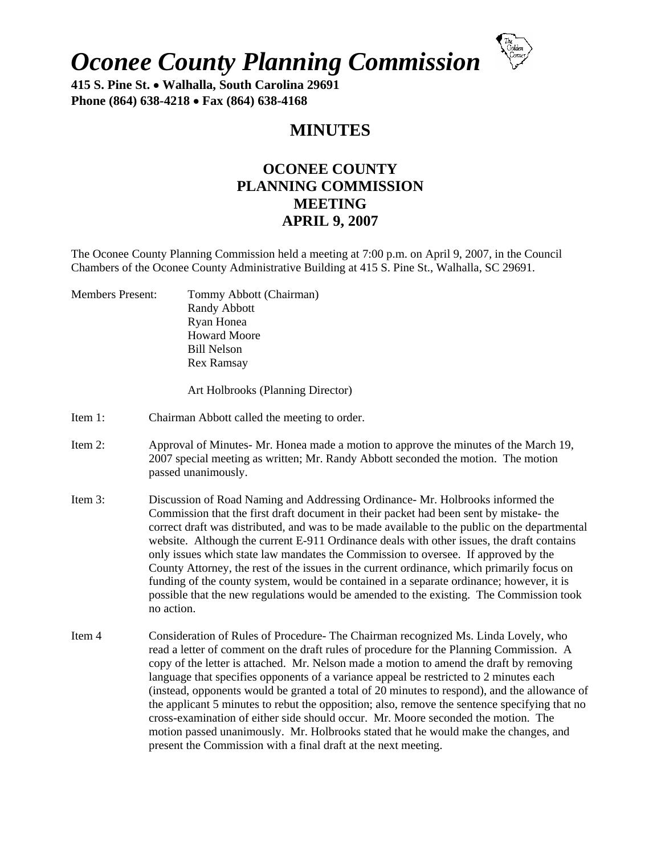## *Oconee County Planning Commission*



**415 S. Pine St. Walhalla, South Carolina 29691 Phone (864) 638-4218 Fax (864) 638-4168** 

## **MINUTES**

## **OCONEE COUNTY PLANNING COMMISSION MEETING APRIL 9, 2007**

The Oconee County Planning Commission held a meeting at 7:00 p.m. on April 9, 2007, in the Council Chambers of the Oconee County Administrative Building at 415 S. Pine St., Walhalla, SC 29691.

Members Present: Tommy Abbott (Chairman) Randy Abbott Ryan Honea Howard Moore Bill Nelson Rex Ramsay

Art Holbrooks (Planning Director)

- Item 1: Chairman Abbott called the meeting to order.
- Item 2: Approval of Minutes- Mr. Honea made a motion to approve the minutes of the March 19, 2007 special meeting as written; Mr. Randy Abbott seconded the motion. The motion passed unanimously.
- Item 3: Discussion of Road Naming and Addressing Ordinance- Mr. Holbrooks informed the Commission that the first draft document in their packet had been sent by mistake- the correct draft was distributed, and was to be made available to the public on the departmental website. Although the current E-911 Ordinance deals with other issues, the draft contains only issues which state law mandates the Commission to oversee. If approved by the County Attorney, the rest of the issues in the current ordinance, which primarily focus on funding of the county system, would be contained in a separate ordinance; however, it is possible that the new regulations would be amended to the existing. The Commission took no action.
- Item 4 Consideration of Rules of Procedure- The Chairman recognized Ms. Linda Lovely, who read a letter of comment on the draft rules of procedure for the Planning Commission. A copy of the letter is attached. Mr. Nelson made a motion to amend the draft by removing language that specifies opponents of a variance appeal be restricted to 2 minutes each (instead, opponents would be granted a total of 20 minutes to respond), and the allowance of the applicant 5 minutes to rebut the opposition; also, remove the sentence specifying that no cross-examination of either side should occur. Mr. Moore seconded the motion. The motion passed unanimously. Mr. Holbrooks stated that he would make the changes, and present the Commission with a final draft at the next meeting.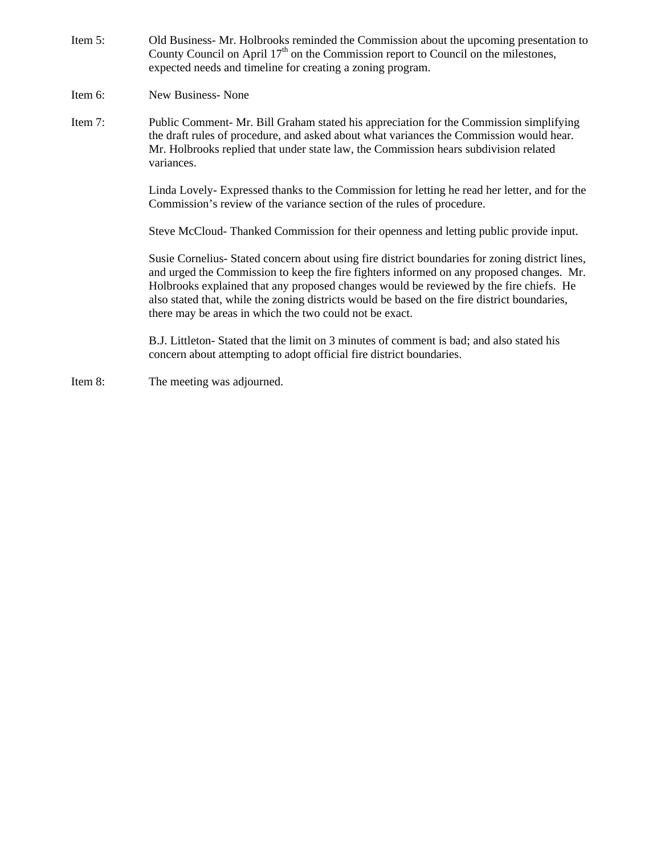- Item 5: Old Business- Mr. Holbrooks reminded the Commission about the upcoming presentation to County Council on April  $17<sup>th</sup>$  on the Commission report to Council on the milestones, expected needs and timeline for creating a zoning program.
- Item 6: New Business- None
- Item 7: Public Comment- Mr. Bill Graham stated his appreciation for the Commission simplifying the draft rules of procedure, and asked about what variances the Commission would hear. Mr. Holbrooks replied that under state law, the Commission hears subdivision related variances.

Linda Lovely- Expressed thanks to the Commission for letting he read her letter, and for the Commission's review of the variance section of the rules of procedure.

Steve McCloud- Thanked Commission for their openness and letting public provide input.

Susie Cornelius- Stated concern about using fire district boundaries for zoning district lines, and urged the Commission to keep the fire fighters informed on any proposed changes. Mr. Holbrooks explained that any proposed changes would be reviewed by the fire chiefs. He also stated that, while the zoning districts would be based on the fire district boundaries, there may be areas in which the two could not be exact.

B.J. Littleton- Stated that the limit on 3 minutes of comment is bad; and also stated his concern about attempting to adopt official fire district boundaries.

Item 8: The meeting was adjourned.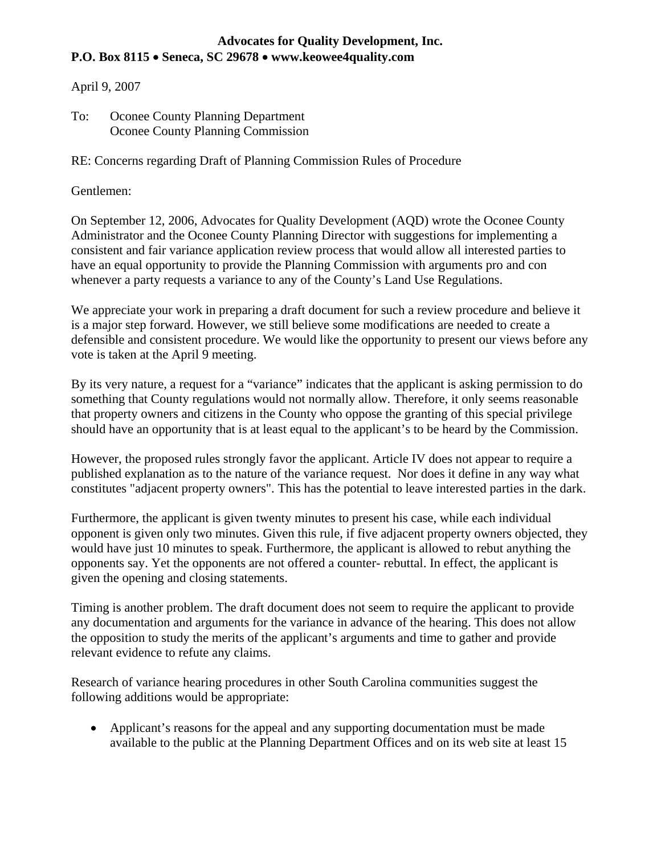## **Advocates for Quality Development, Inc. P.O. Box 8115 Seneca, SC 29678 www.keowee4quality.com**

April 9, 2007

To: Oconee County Planning Department Oconee County Planning Commission

RE: Concerns regarding Draft of Planning Commission Rules of Procedure

Gentlemen:

On September 12, 2006, Advocates for Quality Development (AQD) wrote the Oconee County Administrator and the Oconee County Planning Director with suggestions for implementing a consistent and fair variance application review process that would allow all interested parties to have an equal opportunity to provide the Planning Commission with arguments pro and con whenever a party requests a variance to any of the County's Land Use Regulations.

We appreciate your work in preparing a draft document for such a review procedure and believe it is a major step forward. However, we still believe some modifications are needed to create a defensible and consistent procedure. We would like the opportunity to present our views before any vote is taken at the April 9 meeting.

By its very nature, a request for a "variance" indicates that the applicant is asking permission to do something that County regulations would not normally allow. Therefore, it only seems reasonable that property owners and citizens in the County who oppose the granting of this special privilege should have an opportunity that is at least equal to the applicant's to be heard by the Commission.

However, the proposed rules strongly favor the applicant. Article IV does not appear to require a published explanation as to the nature of the variance request. Nor does it define in any way what constitutes "adjacent property owners". This has the potential to leave interested parties in the dark.

Furthermore, the applicant is given twenty minutes to present his case, while each individual opponent is given only two minutes. Given this rule, if five adjacent property owners objected, they would have just 10 minutes to speak. Furthermore, the applicant is allowed to rebut anything the opponents say. Yet the opponents are not offered a counter- rebuttal. In effect, the applicant is given the opening and closing statements.

Timing is another problem. The draft document does not seem to require the applicant to provide any documentation and arguments for the variance in advance of the hearing. This does not allow the opposition to study the merits of the applicant's arguments and time to gather and provide relevant evidence to refute any claims.

Research of variance hearing procedures in other South Carolina communities suggest the following additions would be appropriate:

• Applicant's reasons for the appeal and any supporting documentation must be made available to the public at the Planning Department Offices and on its web site at least 15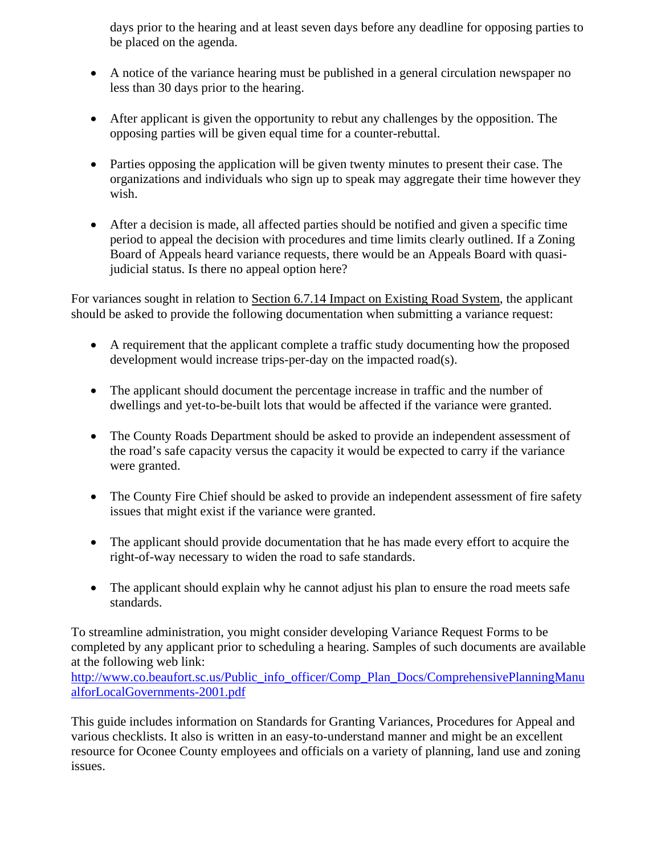days prior to the hearing and at least seven days before any deadline for opposing parties to be placed on the agenda.

- A notice of the variance hearing must be published in a general circulation newspaper no less than 30 days prior to the hearing.
- After applicant is given the opportunity to rebut any challenges by the opposition. The opposing parties will be given equal time for a counter-rebuttal.
- Parties opposing the application will be given twenty minutes to present their case. The organizations and individuals who sign up to speak may aggregate their time however they wish.
- After a decision is made, all affected parties should be notified and given a specific time period to appeal the decision with procedures and time limits clearly outlined. If a Zoning Board of Appeals heard variance requests, there would be an Appeals Board with quasijudicial status. Is there no appeal option here?

For variances sought in relation to Section 6.7.14 Impact on Existing Road System, the applicant should be asked to provide the following documentation when submitting a variance request:

- A requirement that the applicant complete a traffic study documenting how the proposed development would increase trips-per-day on the impacted road(s).
- The applicant should document the percentage increase in traffic and the number of dwellings and yet-to-be-built lots that would be affected if the variance were granted.
- The County Roads Department should be asked to provide an independent assessment of the road's safe capacity versus the capacity it would be expected to carry if the variance were granted.
- The County Fire Chief should be asked to provide an independent assessment of fire safety issues that might exist if the variance were granted.
- The applicant should provide documentation that he has made every effort to acquire the right-of-way necessary to widen the road to safe standards.
- The applicant should explain why he cannot adjust his plan to ensure the road meets safe standards.

To streamline administration, you might consider developing Variance Request Forms to be completed by any applicant prior to scheduling a hearing. Samples of such documents are available at the following web link:

[http://www.co.beaufort.sc.us/Public\\_info\\_officer/Comp\\_Plan\\_Docs/ComprehensivePlanningManu](http://www.co.beaufort.sc.us/Public_info_officer/Comp_Plan_Docs/ComprehensivePlanningManualforLocalGovernments-2001.pdf) [alforLocalGovernments-2001.pdf](http://www.co.beaufort.sc.us/Public_info_officer/Comp_Plan_Docs/ComprehensivePlanningManualforLocalGovernments-2001.pdf) 

This guide includes information on Standards for Granting Variances, Procedures for Appeal and various checklists. It also is written in an easy-to-understand manner and might be an excellent resource for Oconee County employees and officials on a variety of planning, land use and zoning issues.